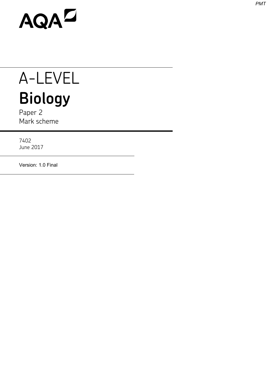

## A-LEVEL **Biology**

Paper 2 Mark scheme

7402 June 2017

Version: 1.0 Final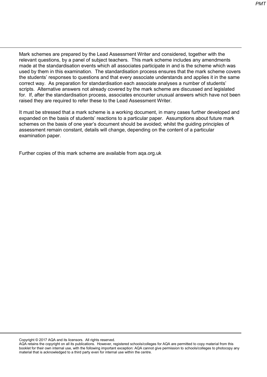Mark schemes are prepared by the Lead Assessment Writer and considered, together with the relevant questions, by a panel of subject teachers. This mark scheme includes any amendments made at the standardisation events which all associates participate in and is the scheme which was used by them in this examination. The standardisation process ensures that the mark scheme covers the students' responses to questions and that every associate understands and applies it in the same correct way. As preparation for standardisation each associate analyses a number of students' scripts. Alternative answers not already covered by the mark scheme are discussed and legislated for. If, after the standardisation process, associates encounter unusual answers which have not been raised they are required to refer these to the Lead Assessment Writer.

It must be stressed that a mark scheme is a working document, in many cases further developed and expanded on the basis of students' reactions to a particular paper. Assumptions about future mark schemes on the basis of one year's document should be avoided; whilst the guiding principles of assessment remain constant, details will change, depending on the content of a particular examination paper.

Further copies of this mark scheme are available from aqa.org.uk

Copyright © 2017 AQA and its licensors. All rights reserved.

AQA retains the copyright on all its publications. However, registered schools/colleges for AQA are permitted to copy material from this booklet for their own internal use, with the following important exception: AQA cannot give permission to schools/colleges to photocopy any material that is acknowledged to a third party even for internal use within the centre.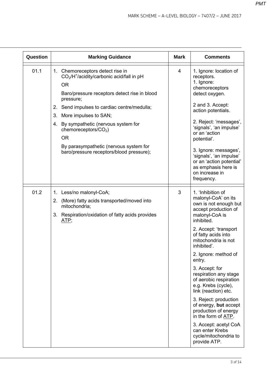| Question | <b>Marking Guidance</b>                                                                                                                                                                                                                                                                                                                                                                                      | <b>Mark</b> | <b>Comments</b>                                                                                                                                                                                                                                                                                                                                                                                                                                                                                                                                             |
|----------|--------------------------------------------------------------------------------------------------------------------------------------------------------------------------------------------------------------------------------------------------------------------------------------------------------------------------------------------------------------------------------------------------------------|-------------|-------------------------------------------------------------------------------------------------------------------------------------------------------------------------------------------------------------------------------------------------------------------------------------------------------------------------------------------------------------------------------------------------------------------------------------------------------------------------------------------------------------------------------------------------------------|
| 01.1     | 1. Chemoreceptors detect rise in<br>$CO2/H+/acidity/carbonic acid/fall in pH$<br><b>OR</b><br>Baro/pressure receptors detect rise in blood<br>pressure;<br>2. Send impulses to cardiac centre/medulla;<br>More impulses to SAN;<br>3.<br>4. By sympathetic (nervous system for<br>chemoreceptors/ $CO2$ )<br><b>OR</b><br>By parasympathetic (nervous system for<br>baro/pressure receptors/blood pressure); | 4           | 1. Ignore: location of<br>receptors.<br>1. Ignore:<br>chemoreceptors<br>detect oxygen.<br>2 and 3. Accept:<br>action potentials.<br>2. Reject: 'messages',<br>'signals', 'an impulse'<br>or an 'action<br>potential'.<br>3. Ignore: messages',<br>'signals', 'an impulse'<br>or an 'action potential'<br>as emphasis here is<br>on increase in<br>frequency.                                                                                                                                                                                                |
| 01.2     | 1. Less/no malonyl-CoA;<br>2. (More) fatty acids transported/moved into<br>mitochondria;<br>3. Respiration/oxidation of fatty acids provides<br>ATP;                                                                                                                                                                                                                                                         | 3           | 1. 'Inhibition of<br>malonyl-CoA' on its<br>own is not enough but<br>accept production of<br>malonyl-CoA is<br>inhibited.<br>2. Accept: 'transport<br>of fatty acids into<br>mitochondria is not<br>inhibited'.<br>2. Ignore: method of<br>entry.<br>3. Accept: for<br>respiration any stage<br>of aerobic respiration<br>e.g. Krebs (cycle),<br>link (reaction) etc.<br>3. Reject: production<br>of energy, but accept<br>production of energy<br>in the form of ATP.<br>3. Accept: acetyl CoA<br>can enter Krebs<br>cycle/mitochondria to<br>provide ATP. |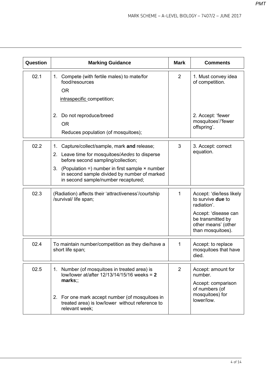| Question | <b>Marking Guidance</b>                                                                                                                                                                                                                                                                       | <b>Mark</b>    | <b>Comments</b>                                                                                                                                              |
|----------|-----------------------------------------------------------------------------------------------------------------------------------------------------------------------------------------------------------------------------------------------------------------------------------------------|----------------|--------------------------------------------------------------------------------------------------------------------------------------------------------------|
| 02.1     | 1. Compete (with fertile males) to mate/for<br>food/resources<br><b>OR</b><br>intraspecific competition;                                                                                                                                                                                      | $\overline{2}$ | 1. Must convey idea<br>of competition.                                                                                                                       |
|          | 2. Do not reproduce/breed<br><b>OR</b><br>Reduces population (of mosquitoes);                                                                                                                                                                                                                 |                | 2. Accept: 'fewer<br>mosquitoes'/'fewer<br>offspring'.                                                                                                       |
| 02.2     | Capture/collect/sample, mark and release;<br>1.<br>2. Leave time for mosquitoes/Aedes to disperse<br>before second sampling/collection;<br>(Population =) number in first sample $\times$ number<br>3.<br>in second sample divided by number of marked<br>in second sample/number recaptured; | 3              | 3. Accept: correct<br>equation.                                                                                                                              |
| 02.3     | (Radiation) affects their 'attractiveness'/courtship<br>/survival/ life span;                                                                                                                                                                                                                 | 1              | Accept: 'die/less likely<br>to survive <b>due</b> to<br>radiation'.<br>Accept: 'disease can<br>be transmitted by<br>other means' (other<br>than mosquitoes). |
| 02.4     | To maintain number/competition as they die/have a<br>short life span;                                                                                                                                                                                                                         | 1              | Accept: to replace<br>mosquitoes that have<br>died.                                                                                                          |
| 02.5     | 1. Number (of mosquitoes in treated area) is<br>low/lower at/after $12/13/14/15/16$ weeks = 2<br>$mark$ s:<br>2. For one mark accept number (of mosquitoes in<br>treated area) is low/lower without reference to<br>relevant week;                                                            | $\overline{2}$ | Accept: amount for<br>number.<br>Accept: comparison<br>of numbers (of<br>mosquitoes) for<br>lower/low.                                                       |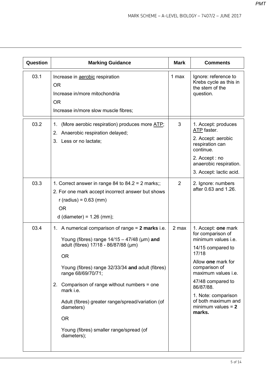| <b>Question</b> | <b>Marking Guidance</b>                                                                                                                                                                                                                                                                                                                                                                                                           | <b>Mark</b>    | <b>Comments</b>                                                                                                                                                                                                                                                               |
|-----------------|-----------------------------------------------------------------------------------------------------------------------------------------------------------------------------------------------------------------------------------------------------------------------------------------------------------------------------------------------------------------------------------------------------------------------------------|----------------|-------------------------------------------------------------------------------------------------------------------------------------------------------------------------------------------------------------------------------------------------------------------------------|
| 03.1            | Increase in aerobic respiration<br><b>OR</b><br>Increase in/more mitochondria<br><b>OR</b><br>Increase in/more slow muscle fibres;                                                                                                                                                                                                                                                                                                | 1 max          | Ignore: reference to<br>Krebs cycle as this in<br>the stem of the<br>question.                                                                                                                                                                                                |
| 03.2            | (More aerobic respiration) produces more ATP;<br>1.<br>2. Anaerobic respiration delayed;<br>3. Less or no lactate;                                                                                                                                                                                                                                                                                                                | 3              | 1. Accept: produces<br>ATP faster.<br>2. Accept: aerobic<br>respiration can<br>continue.<br>2. Accept : no<br>anaerobic respiration.<br>3. Accept: lactic acid.                                                                                                               |
| 03.3            | 1. Correct answer in range 84 to $84.2 = 2$ marks;;<br>2. For one mark accept incorrect answer but shows<br>$r$ (radius) = 0.63 (mm)<br><b>OR</b><br>d (diameter) = $1.26$ (mm);                                                                                                                                                                                                                                                  | $\overline{2}$ | 2. Ignore: numbers<br>after 0.63 and 1.26.                                                                                                                                                                                                                                    |
| 03.4            | 1. A numerical comparison of range = 2 marks i.e.<br>Young (fibres) range $14/15 - 47/48$ (µm) and<br>adult (fibres) 17/18 - 86/87/88 (µm)<br>0R<br>Young (fibres) range 32/33/34 and adult (fibres)<br>range 68/69/70/71;<br>2. Comparison of range without numbers = one<br>mark i.e.<br>Adult (fibres) greater range/spread/variation (of<br>diameters)<br><b>OR</b><br>Young (fibres) smaller range/spread (of<br>diameters); | 2 max          | 1. Accept: one mark<br>for comparison of<br>minimum values i.e.<br>14/15 compared to<br>17/18<br>Allow one mark for<br>comparison of<br>maximum values i.e.<br>47/48 compared to<br>86/87/88.<br>1. Note: comparison<br>of both maximum and<br>minimum values $= 2$<br>marks. |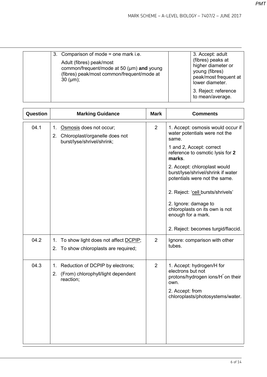| 3. Comparison of mode $=$ one mark i.e.                                                                                                 | 3. Accept: adult                                                                                      |
|-----------------------------------------------------------------------------------------------------------------------------------------|-------------------------------------------------------------------------------------------------------|
| Adult (fibres) peak/most<br>common/frequent/mode at 50 (µm) and young<br>(fibres) peak/most common/frequent/mode at<br>$30 \, (\mu m);$ | (fibres) peaks at<br>higher diameter or<br>young (fibres)<br>peak/most frequent at<br>lower diameter. |
|                                                                                                                                         | 3. Reject: reference<br>to mean/average.                                                              |

| Question | <b>Marking Guidance</b>                                                                          | <b>Mark</b>    | <b>Comments</b>                                                                                                                                                                                                                                                                                                                                                                                                         |
|----------|--------------------------------------------------------------------------------------------------|----------------|-------------------------------------------------------------------------------------------------------------------------------------------------------------------------------------------------------------------------------------------------------------------------------------------------------------------------------------------------------------------------------------------------------------------------|
| 04.1     | Osmosis does not occur;<br>1.<br>2. Chloroplast/organelle does not<br>burst/lyse/shrivel/shrink; | 2              | 1. Accept: osmosis would occur if<br>water potentials were not the<br>same.<br>1 and 2, Accept: correct<br>reference to osmotic lysis for 2<br>marks.<br>2. Accept: chloroplast would<br>burst/lyse/shrivel/shrink if water<br>potentials were not the same.<br>2. Reject: 'cell bursts/shrivels'<br>2. Ignore: damage to<br>chloroplasts on its own is not<br>enough for a mark.<br>2. Reject: becomes turgid/flaccid. |
| 04.2     | To show light does not affect DCPIP;<br>1.<br>2. To show chloroplasts are required;              | $\overline{2}$ | Ignore: comparison with other<br>tubes.                                                                                                                                                                                                                                                                                                                                                                                 |
| 04.3     | Reduction of DCPIP by electrons;<br>1.<br>2. (From) chlorophyll/light dependent<br>reaction;     | $\overline{2}$ | 1. Accept: hydrogen/H for<br>electrons but not<br>protons/hydrogen ions/H on their<br>own.<br>2. Accept: from<br>chloroplasts/photosystems/water.                                                                                                                                                                                                                                                                       |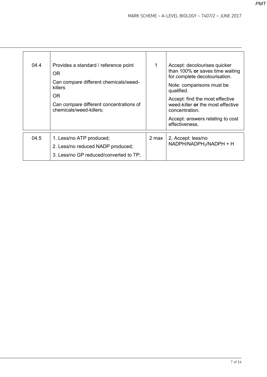| 04.4 | Provides a standard / reference point<br>OR.<br>Can compare different chemicals/weed-<br>killers<br>0R<br>Can compare different concentrations of<br>chemicals/weed-killers; | 1     | Accept: decolourises quicker<br>than 100% or saves time waiting<br>for complete decolourisation.<br>Note: comparisons must be<br>qualified.<br>Accept: find the most effective<br>weed-killer or the most effective<br>concentration.<br>Accept: answers relating to cost<br>effectiveness. |
|------|------------------------------------------------------------------------------------------------------------------------------------------------------------------------------|-------|---------------------------------------------------------------------------------------------------------------------------------------------------------------------------------------------------------------------------------------------------------------------------------------------|
| 04.5 | 1. Less/no ATP produced;<br>2. Less/no reduced NADP produced;<br>3. Less/no GP reduced/converted to TP;                                                                      | 2 max | 2, Accept: less/no<br>NADPH/NADPH <sub>2</sub> /NADPH + H                                                                                                                                                                                                                                   |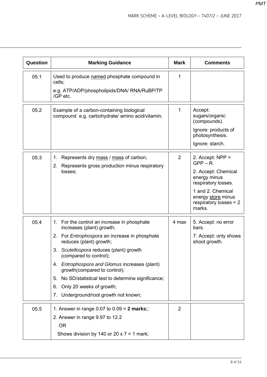| <b>Question</b> | <b>Marking Guidance</b>                                                                                                                                                                                                                                                                                                                                                                                                                                    | <b>Mark</b>    | <b>Comments</b>                                                                                                                                                                  |
|-----------------|------------------------------------------------------------------------------------------------------------------------------------------------------------------------------------------------------------------------------------------------------------------------------------------------------------------------------------------------------------------------------------------------------------------------------------------------------------|----------------|----------------------------------------------------------------------------------------------------------------------------------------------------------------------------------|
| 05.1            | Used to produce named phosphate compound in<br>cells;<br>e.g. ATP/ADP/phospholipids/DNA/ RNA/RuBP/TP<br>/GP etc.                                                                                                                                                                                                                                                                                                                                           | 1              |                                                                                                                                                                                  |
| 05.2            | Example of a carbon-containing biological<br>compound e.g. carbohydrate/ amino acid/vitamin;                                                                                                                                                                                                                                                                                                                                                               | 1              | Accept:<br>sugars/organic<br>(compounds).<br>Ignore: products of<br>photosynthesis.<br>Ignore: starch.                                                                           |
| 05.3            | Represents dry mass / mass of carbon;<br>1.<br>2. Represents gross production minus respiratory<br>losses;                                                                                                                                                                                                                                                                                                                                                 | $\overline{2}$ | 2. Accept: $NPP =$<br>$GPP - R$ .<br>2. Accept: Chemical<br>energy minus<br>respiratory losses.<br>1 and 2. Chemical<br>energy store minus<br>respiratory losses = $2$<br>marks. |
| 05.4            | 1. For the control an increase in phosphate<br>increases (plant) growth;<br>2. For <i>Entrophospora</i> an increase in phosphate<br>reduces (plant) growth;<br>3. Scutellospora reduces (plant) growth<br>(compared to control);<br>Entrophospora and Glomus increases (plant)<br>4.<br>growth(compared to control);<br>No SD/statistical test to determine significance;<br>5.<br>Only 20 weeks of growth;<br>6.<br>7. Underground/root growth not known; | 4 max          | 5. Accept: no error<br>bars.<br>7. Accept: only shows<br>shoot growth.                                                                                                           |
| 05.5            | 1. Answer in range 0.07 to 0.09 = 2 marks;;<br>2. Answer in range 9.97 to 12.2<br><b>OR</b><br>Shows division by 140 or 20 x 7 = 1 mark;                                                                                                                                                                                                                                                                                                                   | $\overline{2}$ |                                                                                                                                                                                  |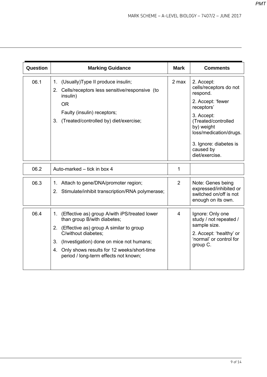| Question | <b>Marking Guidance</b>                                                                                                                                                                                                                                                                          | <b>Mark</b>    | <b>Comments</b>                                                                                                                                                                                                           |
|----------|--------------------------------------------------------------------------------------------------------------------------------------------------------------------------------------------------------------------------------------------------------------------------------------------------|----------------|---------------------------------------------------------------------------------------------------------------------------------------------------------------------------------------------------------------------------|
| 06.1     | 1. (Usually) Type II produce insulin;<br>2. Cells/receptors less sensitive/responsive (to<br>insulin)<br><b>OR</b><br>Faulty (insulin) receptors;<br>3. (Treated/controlled by) diet/exercise;                                                                                                   | 2 max          | 2. Accept:<br>cells/receptors do not<br>respond.<br>2. Accept: 'fewer<br>receptors'<br>3. Accept:<br>(Treated/controlled<br>by) weight<br>loss/medication/drugs.<br>3. Ignore: diabetes is<br>caused by<br>diet/exercise. |
| 06.2     | Auto-marked – tick in box 4                                                                                                                                                                                                                                                                      | 1              |                                                                                                                                                                                                                           |
| 06.3     | Attach to gene/DNA/promoter region;<br>1.<br>2. Stimulate/inhibit transcription/RNA polymerase;                                                                                                                                                                                                  | $\overline{2}$ | Note: Genes being<br>expressed/inhibited or<br>switched on/off is not<br>enough on its own.                                                                                                                               |
| 06.4     | 1. (Effective as) group A/with iPS/treated lower<br>than group B/with diabetes;<br>2. (Effective as) group A similar to group<br>C/without diabetes;<br>(Investigation) done on mice not humans;<br>3.<br>4. Only shows results for 12 weeks/short-time<br>period / long-term effects not known; | 4              | Ignore: Only one<br>study / not repeated /<br>sample size.<br>2. Accept: 'healthy' or<br>'normal' or control for<br>group C.                                                                                              |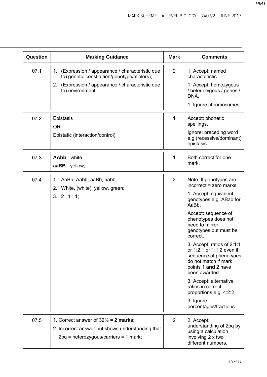| Question | <b>Marking Guidance</b>                                                                                                                                                  | <b>Mark</b>    | <b>Comments</b>                                                                                                                                                                                                                                                                                                                                                                                                                                                                           |
|----------|--------------------------------------------------------------------------------------------------------------------------------------------------------------------------|----------------|-------------------------------------------------------------------------------------------------------------------------------------------------------------------------------------------------------------------------------------------------------------------------------------------------------------------------------------------------------------------------------------------------------------------------------------------------------------------------------------------|
| 07.1     | 1. (Expression / appearance / characteristic due<br>to) genetic constitution/genotype/allele(s);<br>2. (Expression / appearance / characteristic due<br>to) environment; | $\overline{2}$ | 1. Accept: named<br>characteristic.<br>1. Accept: homozygous<br>/ heterozygous / genes /<br>DNA.<br>1. Ignore: chromosomes.                                                                                                                                                                                                                                                                                                                                                               |
| 07.2     | Epistasis<br><b>OR</b><br>Epistatic (interaction/control);                                                                                                               | 1              | Accept: phonetic<br>spellings.<br>Ignore: preceding word<br>e.g.(recessive/dominant)<br>epistasis.                                                                                                                                                                                                                                                                                                                                                                                        |
| 07.3     | <b>AAbb</b> - white<br>aaBB - yellow;                                                                                                                                    | 1              | Both correct for one<br>mark.                                                                                                                                                                                                                                                                                                                                                                                                                                                             |
| 07.4     | AaBb, Aabb, aaBb, aabb;<br>1.<br>2. White, (white), yellow, green;<br>3. 2:1:1;                                                                                          | 3              | Note: If genotypes are<br>incorrect = zero marks.<br>1. Accept: equivalent<br>genotypes e.g. ABab for<br>AaBb.<br>Accept: sequence of<br>phenotypes does not<br>need to mirror<br>genotypes but must be<br>correct.<br>3. Accept: ratios of 2:1:1<br>or 1:2:1 or 1:1:2 even if<br>sequence of phenotypes<br>do not match if mark<br>points 1 and 2 have<br>been awarded.<br>3. Accept: alternative<br>ratios in correct<br>proportions e.g. 4:2:2<br>3. Ignore:<br>percentages/fractions. |
| 07.5     | 1. Correct answer of $32\% = 2$ marks;;<br>2. Incorrect answer but shows understanding that<br>$2pq$ = heterozygous/carriers = 1 mark;                                   | 2              | 2. Accept:<br>understanding of 2pq by<br>using a calculation<br>involving 2 x two<br>different numbers.                                                                                                                                                                                                                                                                                                                                                                                   |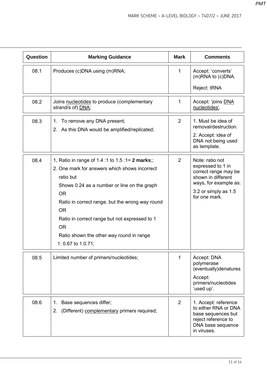| Question | <b>Marking Guidance</b>                                                                                                                                                                                                                                                                                                                                                    | <b>Mark</b>    | <b>Comments</b>                                                                                                                                      |
|----------|----------------------------------------------------------------------------------------------------------------------------------------------------------------------------------------------------------------------------------------------------------------------------------------------------------------------------------------------------------------------------|----------------|------------------------------------------------------------------------------------------------------------------------------------------------------|
| 08.1     | Produces (c)DNA using (m)RNA;                                                                                                                                                                                                                                                                                                                                              | 1              | Accept: 'converts'<br>(m)RNA to (c)DNA.<br>Reject: tRNA                                                                                              |
| 08.2     | Joins nucleotides to produce (complementary<br>strand/s of) DNA;                                                                                                                                                                                                                                                                                                           | 1              | Accept: 'joins DNA<br>nucleotides'.                                                                                                                  |
| 08.3     | 1. To remove any DNA present;<br>2. As this DNA would be amplified/replicated;                                                                                                                                                                                                                                                                                             | $\overline{2}$ | 1. Must be idea of<br>removal/destruction.<br>2. Accept: idea of<br>DNA not being used<br>as template.                                               |
| 08.4     | 1, Ratio in range of 1.4 :1 to 1.5 :1= 2 marks;;<br>2. One mark for answers which shows incorrect<br>ratio but<br>Shows 0.24 as a number or line on the graph<br><b>OR</b><br>Ratio in correct range, but the wrong way round<br><b>OR</b><br>Ratio in correct range but not expressed to 1<br><b>OR</b><br>Ratio shown the other way round in range<br>1: 0.67 to 1:0.71; | $\overline{2}$ | Note: ratio not<br>expressed to 1 in<br>correct range may be<br>shown in different<br>ways, for example as:<br>3:2 or simply as 1.5<br>for one mark. |
| 08.5     | Limited number of primers/nucleotides;                                                                                                                                                                                                                                                                                                                                     | 1              | Accept: DNA<br>polymerase<br>(eventually)denatures<br>Accept:<br>primers/nucleotides<br>'used up'.                                                   |
| 08.6     | Base sequences differ;<br>1.<br>(Different) complementary primers required;<br>2.                                                                                                                                                                                                                                                                                          | 2              | 1. Accept: reference<br>to either RNA or DNA<br>base sequences but<br>reject reference to<br>DNA base sequence<br>in viruses.                        |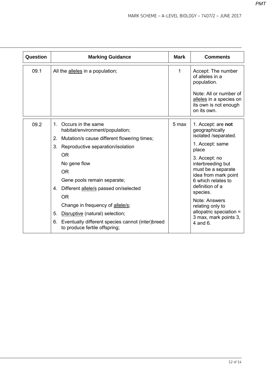| Question | <b>Marking Guidance</b>                                                                                                                                                                                                                                                                                                                                                                                                                                                      | <b>Mark</b> | <b>Comments</b>                                                                                                                                                                                                                                                                                                                        |
|----------|------------------------------------------------------------------------------------------------------------------------------------------------------------------------------------------------------------------------------------------------------------------------------------------------------------------------------------------------------------------------------------------------------------------------------------------------------------------------------|-------------|----------------------------------------------------------------------------------------------------------------------------------------------------------------------------------------------------------------------------------------------------------------------------------------------------------------------------------------|
| 09.1     | All the alleles in a population;                                                                                                                                                                                                                                                                                                                                                                                                                                             | 1           | Accept: The number<br>of alleles in a<br>population.<br>Note: All or number of<br>alleles in a species on<br>its own is not enough<br>on its own.                                                                                                                                                                                      |
| 09.2     | Occurs in the same<br>$\mathbf{1}$<br>habitat/environment/population;<br>2. Mutation/s cause different flowering times;<br>Reproductive separation/isolation<br>3.<br><b>OR</b><br>No gene flow<br><b>OR</b><br>Gene pools remain separate;<br>4. Different allele/s passed on/selected<br><b>OR</b><br>Change in frequency of allele/s;<br>5.<br>Disruptive (natural) selection;<br>Eventually different species cannot (inter)breed<br>6.<br>to produce fertile offspring; | 5 max       | 1. Accept: are not<br>geographically<br>isolated /separated.<br>1. Accept: same<br>place<br>3. Accept: no<br>interbreeding but<br>must be a separate<br>idea from mark point<br>6 which relates to<br>definition of a<br>species.<br>Note: Answers<br>relating only to<br>allopatric speciation =<br>3 max, mark points 3,<br>4 and 6. |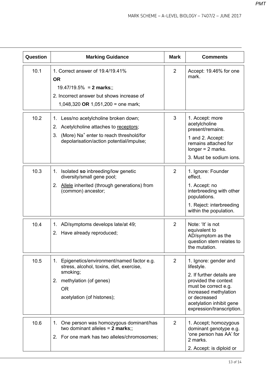| Question | <b>Marking Guidance</b>                                                                                                                                                                   | <b>Mark</b>    | <b>Comments</b>                                                                                                                                                                                                    |
|----------|-------------------------------------------------------------------------------------------------------------------------------------------------------------------------------------------|----------------|--------------------------------------------------------------------------------------------------------------------------------------------------------------------------------------------------------------------|
| 10.1     | 1. Correct answer of 19.4/19.41%<br><b>OR</b><br>$19.47/19.5% = 2 marks$ ;;<br>2. Incorrect answer but shows increase of<br>1,048,320 OR 1,051,200 = one mark;                            | $\overline{2}$ | Accept: 19.46% for one<br>mark.                                                                                                                                                                                    |
| 10.2     | Less/no acetylcholine broken down;<br>1.<br>2. Acetylcholine attaches to receptors;<br>3. (More) Na <sup>+</sup> enter to reach threshold/for<br>depolarisation/action potential/impulse; | 3              | 1. Accept: more<br>acetylcholine<br>present/remains.<br>1 and 2. Accept:<br>remains attached for<br>longer $= 2$ marks.<br>3. Must be sodium ions.                                                                 |
| 10.3     | 1. Isolated so inbreeding/low genetic<br>diversity/small gene pool;<br>2. Allele inherited (through generations) from<br>(common) ancestor;                                               | 2              | 1. Ignore: Founder<br>effect.<br>1. Accept: no<br>interbreeding with other<br>populations.<br>1. Reject: interbreeding<br>within the population.                                                                   |
| 10.4     | AD/symptoms develops late/at 49;<br>1.<br>2. Have already reproduced;                                                                                                                     | $\overline{2}$ | Note: 'It' is not<br>equivalent to<br>AD/symptom as the<br>question stem relates to<br>the mutation.                                                                                                               |
| 10.5     | 1. Epigenetics/environment/named factor e.g.<br>stress, alcohol, toxins, diet, exercise,<br>smoking;<br>2. methylation (of genes)<br><b>OR</b><br>acetylation (of histones);              | $\overline{2}$ | 1. Ignore: gender and<br>lifestyle.<br>2. If further details are<br>provided the context<br>must be correct e.g.<br>increased methylation<br>or decreased<br>acetylation inhibit gene<br>expression/transcription. |
| 10.6     | 1. One person was homozygous dominant/has<br>two dominant alleles = $2$ marks;;<br>2. For one mark has two alleles/chromosomes;                                                           | 2              | 1. Accept; homozygous<br>dominant genotype e.g.<br>'one person has AA' for<br>2 marks.<br>2. Accept: is diploid or                                                                                                 |